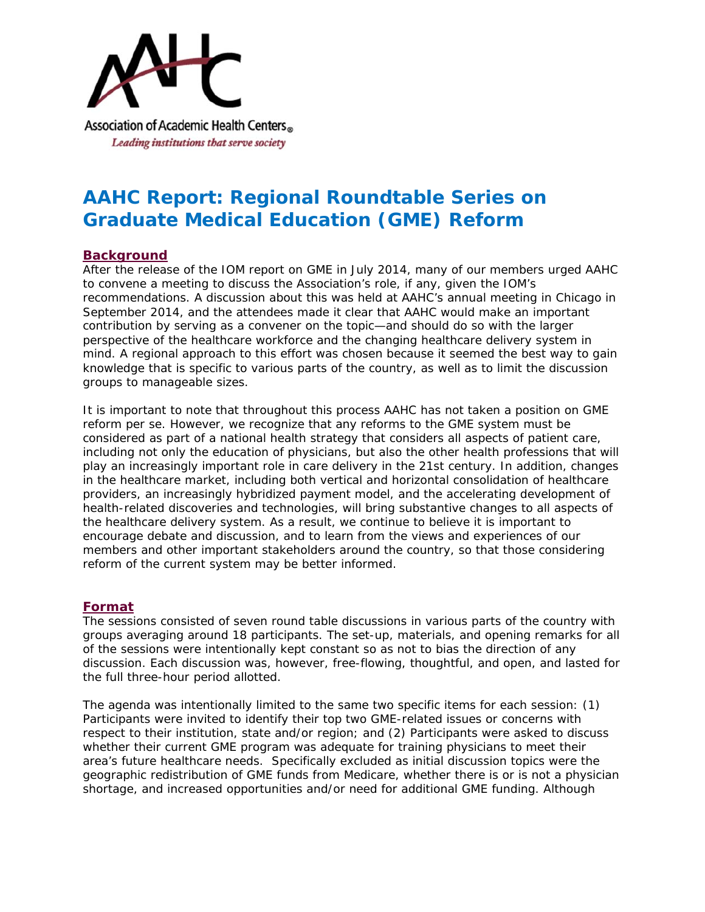

# **AAHC Report: Regional Roundtable Series on Graduate Medical Education (GME) Reform**

# **Background**

After the release of the IOM report on GME in July 2014, many of our members urged AAHC to convene a meeting to discuss the Association's role, if any, given the IOM's recommendations. A discussion about this was held at AAHC's annual meeting in Chicago in September 2014, and the attendees made it clear that AAHC would make an important contribution by serving as a convener on the topic—and should do so with the larger perspective of the healthcare workforce and the changing healthcare delivery system in mind. A regional approach to this effort was chosen because it seemed the best way to gain knowledge that is specific to various parts of the country, as well as to limit the discussion groups to manageable sizes.

It is important to note that throughout this process AAHC has not taken a position on GME reform per se. However, we recognize that any reforms to the GME system must be considered as part of a national health strategy that considers all aspects of patient care, including not only the education of physicians, but also the other health professions that will play an increasingly important role in care delivery in the 21st century. In addition, changes in the healthcare market, including both vertical and horizontal consolidation of healthcare providers, an increasingly hybridized payment model, and the accelerating development of health-related discoveries and technologies, will bring substantive changes to all aspects of the healthcare delivery system. As a result, we continue to believe it is important to encourage debate and discussion, and to learn from the views and experiences of our members and other important stakeholders around the country, so that those considering reform of the current system may be better informed.

# **Format**

The sessions consisted of seven round table discussions in various parts of the country with groups averaging around 18 participants. The set-up, materials, and opening remarks for all of the sessions were intentionally kept constant so as not to bias the direction of any discussion. Each discussion was, however, free-flowing, thoughtful, and open, and lasted for the full three-hour period allotted.

The agenda was intentionally limited to the same two specific items for each session: (1) Participants were invited to identify their top two GME-related issues or concerns with respect to their institution, state and/or region; and (2) Participants were asked to discuss whether their current GME program was adequate for training physicians to meet their area's future healthcare needs. Specifically excluded as initial discussion topics were the geographic redistribution of GME funds from Medicare, whether there is or is not a physician shortage, and increased opportunities and/or need for additional GME funding. Although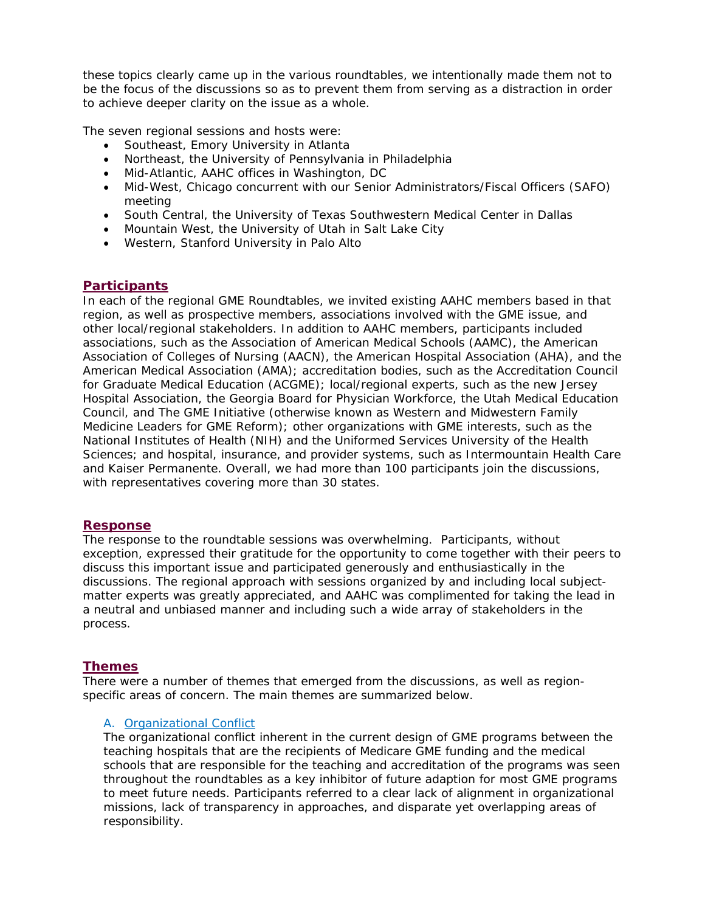these topics clearly came up in the various roundtables, we intentionally made them not to be the focus of the discussions so as to prevent them from serving as a distraction in order to achieve deeper clarity on the issue as a whole.

The seven regional sessions and hosts were:

- Southeast, Emory University in Atlanta
- Northeast, the University of Pennsylvania in Philadelphia
- Mid-Atlantic, AAHC offices in Washington, DC
- Mid-West, Chicago concurrent with our Senior Administrators/Fiscal Officers (SAFO) meeting
- South Central, the University of Texas Southwestern Medical Center in Dallas
- Mountain West, the University of Utah in Salt Lake City
- Western, Stanford University in Palo Alto

#### **Participants**

In each of the regional GME Roundtables, we invited existing AAHC members based in that region, as well as prospective members, associations involved with the GME issue, and other local/regional stakeholders. In addition to AAHC members, participants included associations, such as the Association of American Medical Schools (AAMC), the American Association of Colleges of Nursing (AACN), the American Hospital Association (AHA), and the American Medical Association (AMA); accreditation bodies, such as the Accreditation Council for Graduate Medical Education (ACGME); local/regional experts, such as the new Jersey Hospital Association, the Georgia Board for Physician Workforce, the Utah Medical Education Council, and The GME Initiative (otherwise known as Western and Midwestern Family Medicine Leaders for GME Reform); other organizations with GME interests, such as the National Institutes of Health (NIH) and the Uniformed Services University of the Health Sciences; and hospital, insurance, and provider systems, such as Intermountain Health Care and Kaiser Permanente. Overall, we had more than 100 participants join the discussions, with representatives covering more than 30 states.

#### **Response**

The response to the roundtable sessions was overwhelming. Participants, without exception, expressed their gratitude for the opportunity to come together with their peers to discuss this important issue and participated generously and enthusiastically in the discussions. The regional approach with sessions organized by and including local subjectmatter experts was greatly appreciated, and AAHC was complimented for taking the lead in a neutral and unbiased manner and including such a wide array of stakeholders in the process.

#### **Themes**

There were a number of themes that emerged from the discussions, as well as regionspecific areas of concern. The main themes are summarized below.

#### *A. Organizational Conflict*

The organizational conflict inherent in the current design of GME programs between the teaching hospitals that are the recipients of Medicare GME funding and the medical schools that are responsible for the teaching and accreditation of the programs was seen throughout the roundtables as a key inhibitor of future adaption for most GME programs to meet future needs. Participants referred to a clear lack of alignment in organizational missions, lack of transparency in approaches, and disparate yet overlapping areas of responsibility.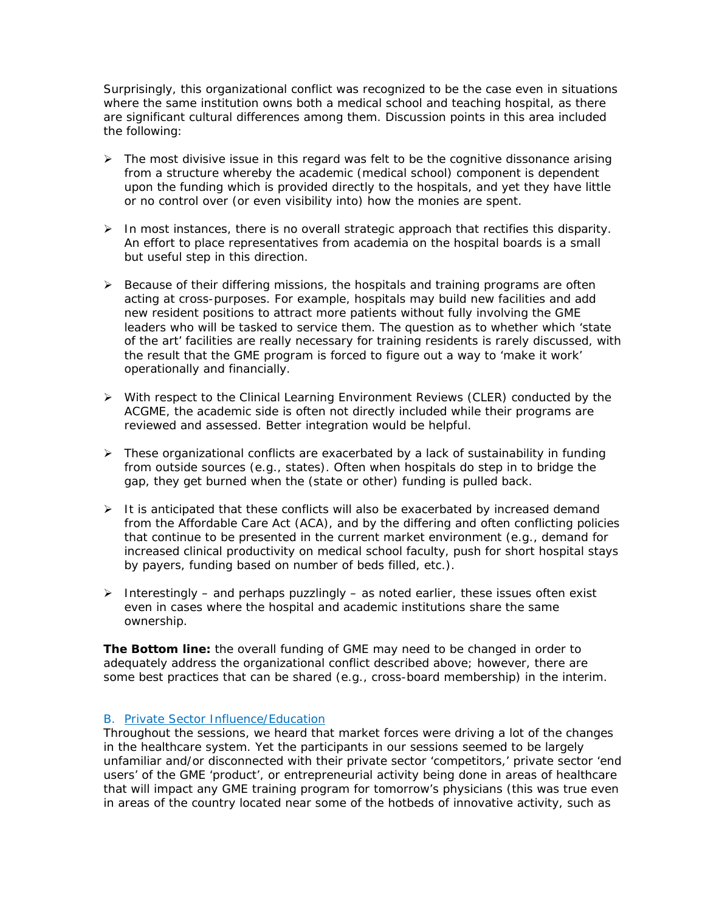Surprisingly, this organizational conflict was recognized to be the case even in situations where the same institution owns both a medical school and teaching hospital, as there are significant cultural differences among them. Discussion points in this area included the following:

- $\triangleright$  The most divisive issue in this regard was felt to be the cognitive dissonance arising from a structure whereby the academic (medical school) component is dependent upon the funding which is provided directly to the hospitals, and yet they have little or no control over (or even visibility into) how the monies are spent.
- $\triangleright$  In most instances, there is no overall strategic approach that rectifies this disparity. An effort to place representatives from academia on the hospital boards is a small but useful step in this direction.
- $\triangleright$  Because of their differing missions, the hospitals and training programs are often acting at cross-purposes. For example, hospitals may build new facilities and add new resident positions to attract more patients without fully involving the GME leaders who will be tasked to service them. The question as to whether which 'state of the art' facilities are really necessary for training residents is rarely discussed, with the result that the GME program is forced to figure out a way to 'make it work' operationally and financially.
- $\triangleright$  With respect to the Clinical Learning Environment Reviews (CLER) conducted by the ACGME, the academic side is often not directly included while their programs are reviewed and assessed. Better integration would be helpful.
- > These organizational conflicts are exacerbated by a lack of sustainability in funding from outside sources (e.g., states). Often when hospitals do step in to bridge the gap, they get burned when the (state or other) funding is pulled back.
- $\triangleright$  It is anticipated that these conflicts will also be exacerbated by increased demand from the Affordable Care Act (ACA), and by the differing and often conflicting policies that continue to be presented in the current market environment (e.g., demand for increased clinical productivity on medical school faculty, push for short hospital stays by payers, funding based on number of beds filled, etc.).
- Interestingly and perhaps puzzlingly as noted earlier, these issues often exist even in cases where the hospital and academic institutions share the same ownership.

**The Bottom line:** the overall funding of GME may need to be changed in order to adequately address the organizational conflict described above; however, there are some best practices that can be shared (e.g., cross-board membership) in the interim.

## *B. Private Sector Influence/Education*

Throughout the sessions, we heard that market forces were driving a lot of the changes in the healthcare system. Yet the participants in our sessions seemed to be largely unfamiliar and/or disconnected with their private sector 'competitors,' private sector 'end users' of the GME 'product', or entrepreneurial activity being done in areas of healthcare that will impact any GME training program for tomorrow's physicians (this was true even in areas of the country located near some of the hotbeds of innovative activity, such as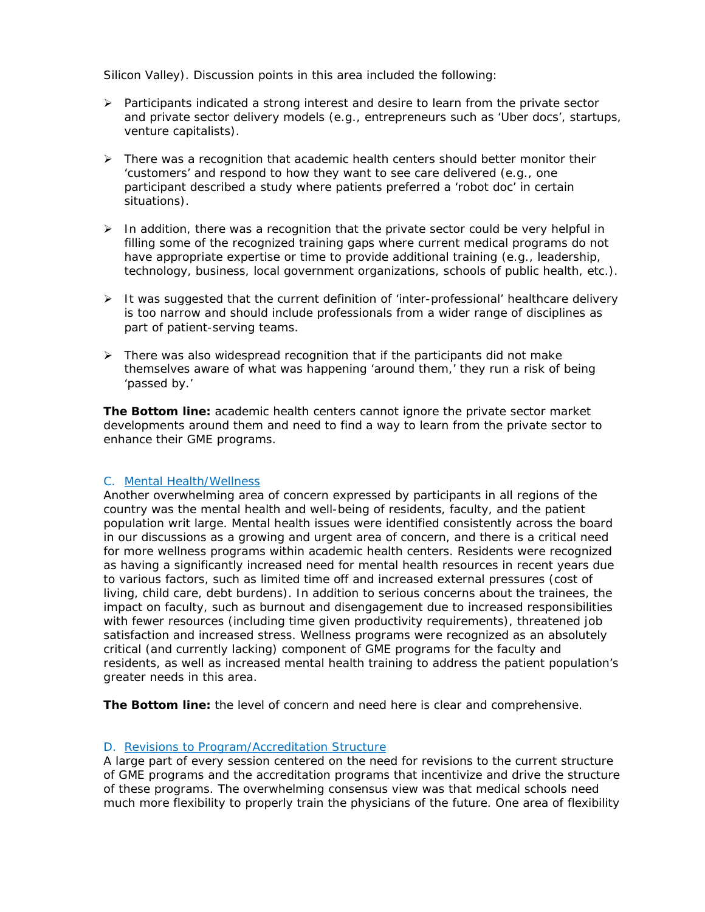Silicon Valley). Discussion points in this area included the following:

- $\triangleright$  Participants indicated a strong interest and desire to learn from the private sector and private sector delivery models (e.g., entrepreneurs such as 'Uber docs', startups, venture capitalists).
- $\triangleright$  There was a recognition that academic health centers should better monitor their 'customers' and respond to how they want to see care delivered (e.g., one participant described a study where patients preferred a 'robot doc' in certain situations).
- $\triangleright$  In addition, there was a recognition that the private sector could be very helpful in filling some of the recognized training gaps where current medical programs do not have appropriate expertise or time to provide additional training (e.g., leadership, technology, business, local government organizations, schools of public health, etc.).
- $\triangleright$  It was suggested that the current definition of 'inter-professional' healthcare delivery is too narrow and should include professionals from a wider range of disciplines as part of patient-serving teams.
- $\triangleright$  There was also widespread recognition that if the participants did not make themselves aware of what was happening 'around them,' they run a risk of being 'passed by.'

**The Bottom line:** academic health centers cannot ignore the private sector market developments around them and need to find a way to learn from the private sector to enhance their GME programs.

#### *C. Mental Health/Wellness*

Another overwhelming area of concern expressed by participants in all regions of the country was the mental health and well-being of residents, faculty, and the patient population writ large. Mental health issues were identified consistently across the board in our discussions as a growing and urgent area of concern, and there is a critical need for more wellness programs within academic health centers. Residents were recognized as having a significantly increased need for mental health resources in recent years due to various factors, such as limited time off and increased external pressures (cost of living, child care, debt burdens). In addition to serious concerns about the trainees, the impact on faculty, such as burnout and disengagement due to increased responsibilities with fewer resources (including time given productivity requirements), threatened job satisfaction and increased stress. Wellness programs were recognized as an absolutely critical (and currently lacking) component of GME programs for the faculty and residents, as well as increased mental health training to address the patient population's greater needs in this area.

**The Bottom line:** the level of concern and need here is clear and comprehensive.

## *D. Revisions to Program/Accreditation Structure*

A large part of every session centered on the need for revisions to the current structure of GME programs and the accreditation programs that incentivize and drive the structure of these programs. The overwhelming consensus view was that medical schools need much more flexibility to properly train the physicians of the future. One area of flexibility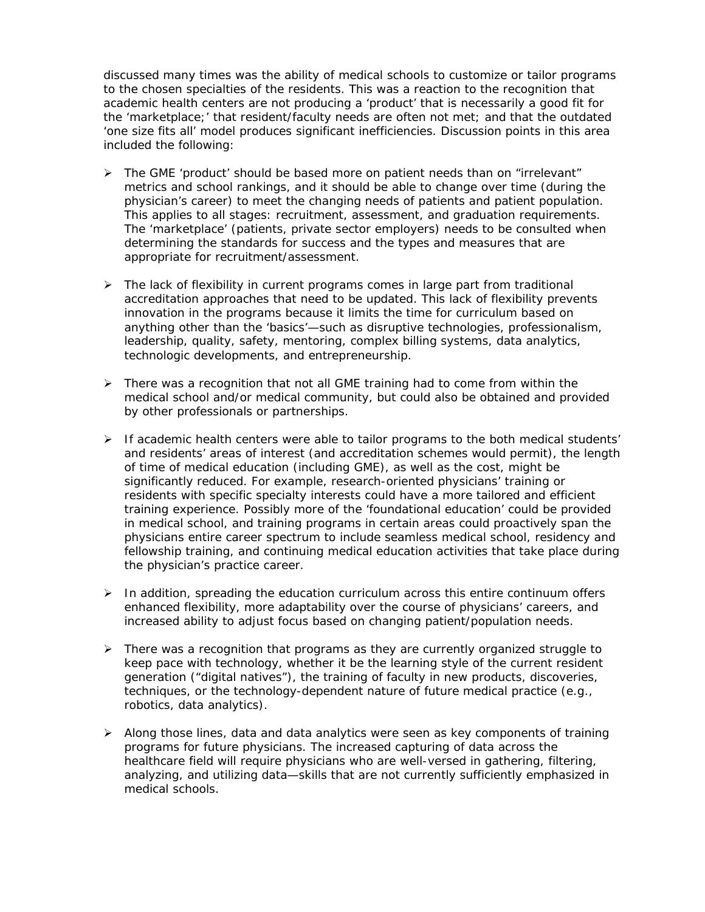discussed many times was the ability of medical schools to customize or tailor programs to the chosen specialties of the residents. This was a reaction to the recognition that academic health centers are not producing a 'product' that is necessarily a good fit for the 'marketplace;' that resident/faculty needs are often not met; and that the outdated 'one size fits all' model produces significant inefficiencies. Discussion points in this area included the following:

- $\triangleright$  The GME 'product' should be based more on patient needs than on "irrelevant" metrics and school rankings, and it should be able to change over time (during the physician's career) to meet the changing needs of patients and patient population. This applies to all stages: recruitment, assessment, and graduation requirements. The 'marketplace' (patients, private sector employers) needs to be consulted when determining the standards for success and the types and measures that are appropriate for recruitment/assessment.
- $\triangleright$  The lack of flexibility in current programs comes in large part from traditional accreditation approaches that need to be updated. This lack of flexibility prevents innovation in the programs because it limits the time for curriculum based on anything other than the 'basics'—such as disruptive technologies, professionalism, leadership, quality, safety, mentoring, complex billing systems, data analytics, technologic developments, and entrepreneurship.
- $\triangleright$  There was a recognition that not all GME training had to come from within the medical school and/or medical community, but could also be obtained and provided by other professionals or partnerships.
- $\triangleright$  If academic health centers were able to tailor programs to the both medical students' and residents' areas of interest (and accreditation schemes would permit), the length of time of medical education (including GME), as well as the cost, might be significantly reduced. For example, research-oriented physicians' training or residents with specific specialty interests could have a more tailored and efficient training experience. Possibly more of the 'foundational education' could be provided in medical school, and training programs in certain areas could proactively span the physicians entire career spectrum to include seamless medical school, residency and fellowship training, and continuing medical education activities that take place during the physician's practice career.
- $\triangleright$  In addition, spreading the education curriculum across this entire continuum offers enhanced flexibility, more adaptability over the course of physicians' careers, and increased ability to adjust focus based on changing patient/population needs.
- $\triangleright$  There was a recognition that programs as they are currently organized struggle to keep pace with technology, whether it be the learning style of the current resident generation ("digital natives"), the training of faculty in new products, discoveries, techniques, or the technology-dependent nature of future medical practice (e.g., robotics, data analytics).
- $\triangleright$  Along those lines, data and data analytics were seen as key components of training programs for future physicians. The increased capturing of data across the healthcare field will require physicians who are well-versed in gathering, filtering, analyzing, and utilizing data—skills that are not currently sufficiently emphasized in medical schools.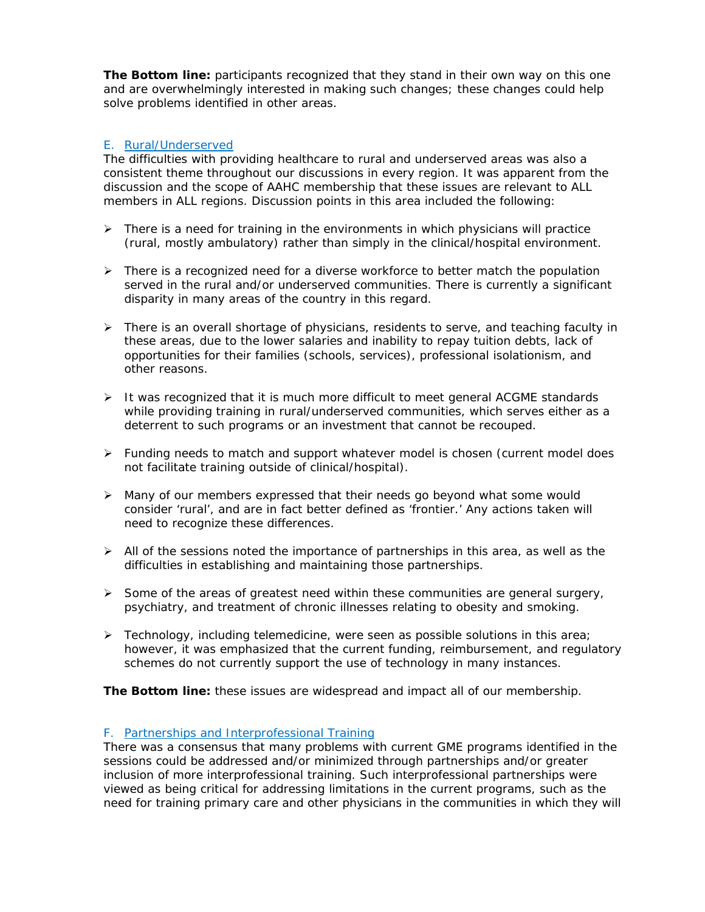**The Bottom line:** participants recognized that they stand in their own way on this one and are overwhelmingly interested in making such changes; these changes could help solve problems identified in other areas.

## *E. Rural/Underserved*

The difficulties with providing healthcare to rural and underserved areas was also a consistent theme throughout our discussions in every region. It was apparent from the discussion and the scope of AAHC membership that these issues are relevant to ALL members in ALL regions. Discussion points in this area included the following:

- $\triangleright$  There is a need for training in the environments in which physicians will practice (rural, mostly ambulatory) rather than simply in the clinical/hospital environment.
- $\triangleright$  There is a recognized need for a diverse workforce to better match the population served in the rural and/or underserved communities. There is currently a significant disparity in many areas of the country in this regard.
- $\triangleright$  There is an overall shortage of physicians, residents to serve, and teaching faculty in these areas, due to the lower salaries and inability to repay tuition debts, lack of opportunities for their families (schools, services), professional isolationism, and other reasons.
- $\triangleright$  It was recognized that it is much more difficult to meet general ACGME standards while providing training in rural/underserved communities, which serves either as a deterrent to such programs or an investment that cannot be recouped.
- $\triangleright$  Funding needs to match and support whatever model is chosen (current model does not facilitate training outside of clinical/hospital).
- $\triangleright$  Many of our members expressed that their needs go beyond what some would consider 'rural', and are in fact better defined as 'frontier.' Any actions taken will need to recognize these differences.
- $\triangleright$  All of the sessions noted the importance of partnerships in this area, as well as the difficulties in establishing and maintaining those partnerships.
- $\triangleright$  Some of the areas of greatest need within these communities are general surgery, psychiatry, and treatment of chronic illnesses relating to obesity and smoking.
- $\triangleright$  Technology, including telemedicine, were seen as possible solutions in this area; however, it was emphasized that the current funding, reimbursement, and regulatory schemes do not currently support the use of technology in many instances.

**The Bottom line:** these issues are widespread and impact all of our membership.

## *F. Partnerships and Interprofessional Training*

There was a consensus that many problems with current GME programs identified in the sessions could be addressed and/or minimized through partnerships and/or greater inclusion of more interprofessional training. Such interprofessional partnerships were viewed as being critical for addressing limitations in the current programs, such as the need for training primary care and other physicians in the communities in which they will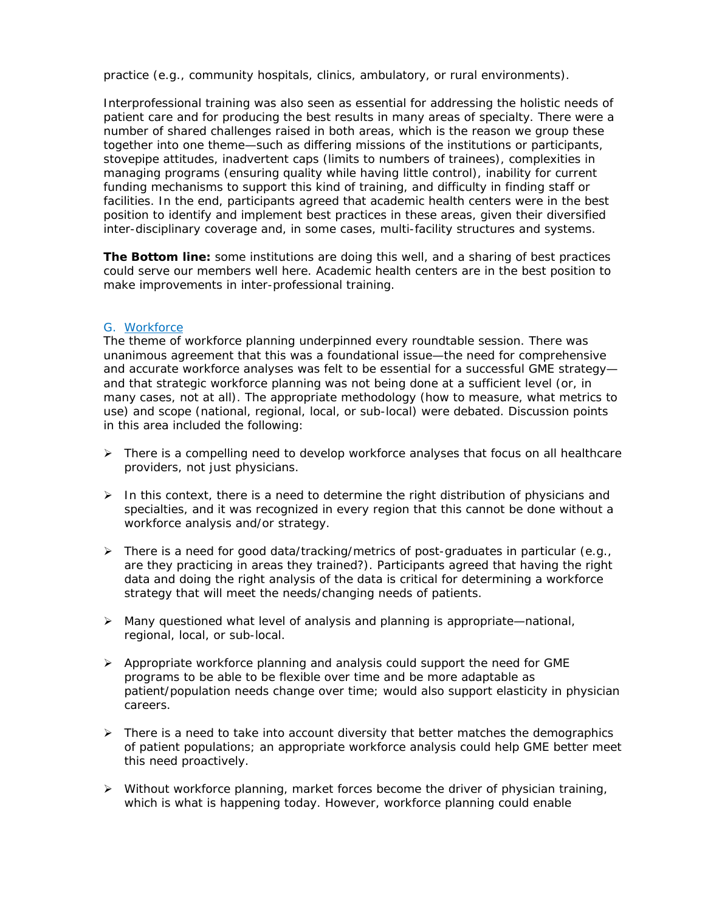practice (e.g., community hospitals, clinics, ambulatory, or rural environments).

Interprofessional training was also seen as essential for addressing the holistic needs of patient care and for producing the best results in many areas of specialty. There were a number of shared challenges raised in both areas, which is the reason we group these together into one theme—such as differing missions of the institutions or participants, stovepipe attitudes, inadvertent caps (limits to numbers of trainees), complexities in managing programs (ensuring quality while having little control), inability for current funding mechanisms to support this kind of training, and difficulty in finding staff or facilities. In the end, participants agreed that academic health centers were in the best position to identify and implement best practices in these areas, given their diversified inter-disciplinary coverage and, in some cases, multi-facility structures and systems.

**The Bottom line:** some institutions are doing this well, and a sharing of best practices could serve our members well here. Academic health centers are in the best position to make improvements in inter-professional training.

#### *G. Workforce*

The theme of workforce planning underpinned every roundtable session. There was unanimous agreement that this was a foundational issue—the need for comprehensive and accurate workforce analyses was felt to be essential for a successful GME strategy and that strategic workforce planning was not being done at a sufficient level (or, in many cases, not at all). The appropriate methodology (how to measure, what metrics to use) and scope (national, regional, local, or sub-local) were debated. Discussion points in this area included the following:

- $\triangleright$  There is a compelling need to develop workforce analyses that focus on all healthcare providers, not just physicians.
- $\triangleright$  In this context, there is a need to determine the right distribution of physicians and specialties, and it was recognized in every region that this cannot be done without a workforce analysis and/or strategy.
- > There is a need for good data/tracking/metrics of post-graduates in particular (e.g., are they practicing in areas they trained?). Participants agreed that having the right data and doing the right analysis of the data is critical for determining a workforce strategy that will meet the needs/changing needs of patients.
- Many questioned what level of analysis and planning is appropriate—national, regional, local, or sub-local.
- $\triangleright$  Appropriate workforce planning and analysis could support the need for GME programs to be able to be flexible over time and be more adaptable as patient/population needs change over time; would also support elasticity in physician careers.
- $\triangleright$  There is a need to take into account diversity that better matches the demographics of patient populations; an appropriate workforce analysis could help GME better meet this need proactively.
- $\triangleright$  Without workforce planning, market forces become the driver of physician training, which is what is happening today. However, workforce planning could enable